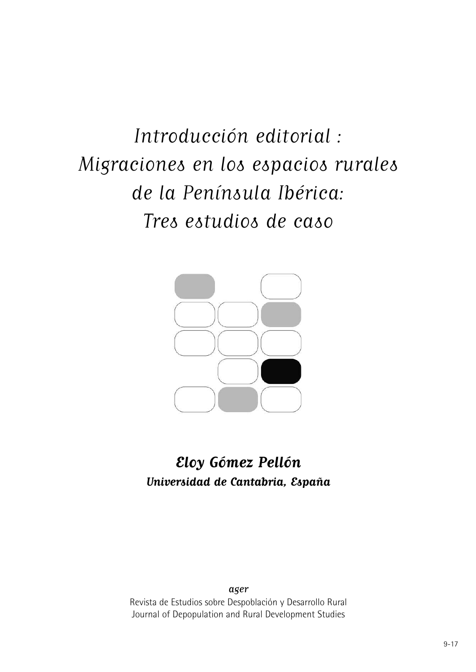Introducción editorial : Migraciones en los espacios rurales de la Península Ibérica: Tres estudios de caso



## **Eloy Gómez Pellón Universidad de Cantabria, España**

ager Revista de Estudios sobre Despoblación y Desarrollo Rural Journal of Depopulation and Rural Development Studies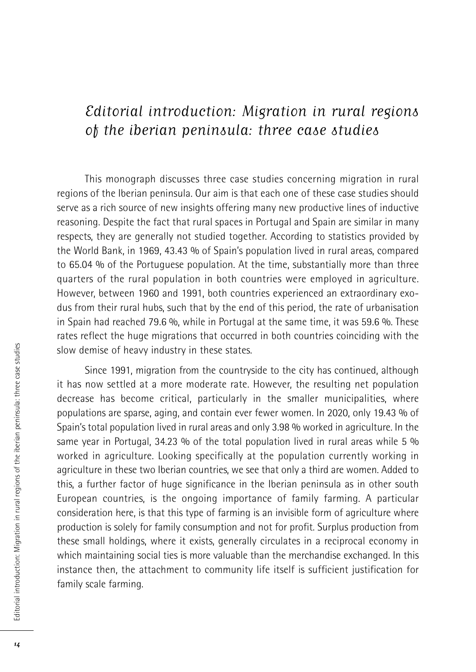## Editorial introduction: Migration in rural regions of the iberian peninsula: three case studies

This monograph discusses three case studies concerning migration in rural regions of the Iberian peninsula. Our aim is that each one of these case studies should serve as a rich source of new insights offering many new productive lines of inductive reasoning. Despite the fact that rural spaces in Portugal and Spain are similar in many respects, they are generally not studied together. According to statistics provided by the World Bank, in 1969, 43.43 % of Spain's population lived in rural areas, compared to 65.04 % of the Portuguese population. At the time, substantially more than three quarters of the rural population in both countries were employed in agriculture. However, between 1960 and 1991, both countries experienced an extraordinary exodus from their rural hubs, such that by the end of this period, the rate of urbanisation in Spain had reached 79.6 %, while in Portugal at the same time, it was 59.6 %. These rates reflect the huge migrations that occurred in both countries coinciding with the slow demise of heavy industry in these states.

Since 1991, migration from the countryside to the city has continued, although it has now settled at a more moderate rate. However, the resulting net population decrease has become critical, particularly in the smaller municipalities, where populations are sparse, aging, and contain ever fewer women. In 2020, only 19.43 % of Spain's total population lived in rural areas and only 3.98 % worked in agriculture. In the same year in Portugal, 34.23 % of the total population lived in rural areas while 5 % worked in agriculture. Looking specifically at the population currently working in agriculture in these two Iberian countries, we see that only a third are women. Added to this, a further factor of huge significance in the Iberian peninsula as in other south European countries, is the ongoing importance of family farming. A particular consideration here, is that this type of farming is an invisible form of agriculture where production is solely for family consumption and not for profit. Surplus production from these small holdings, where it exists, generally circulates in a reciprocal economy in which maintaining social ties is more valuable than the merchandise exchanged. In this instance then, the attachment to community life itself is sufficient justification for family scale farming.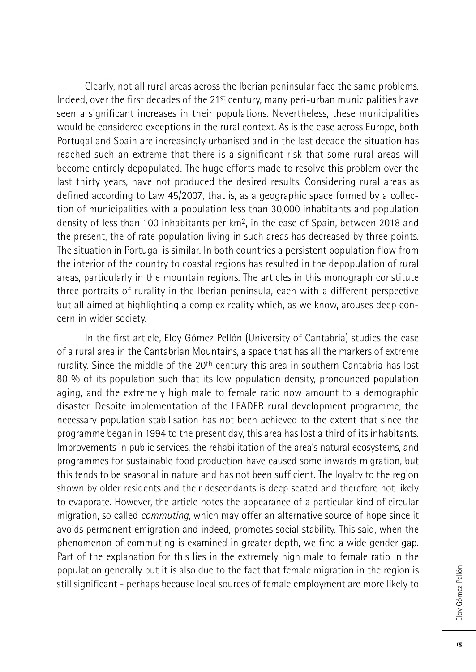Clearly, not all rural areas across the Iberian peninsular face the same problems. Indeed, over the first decades of the 21st century, many peri-urban municipalities have seen a significant increases in their populations. Nevertheless, these municipalities would be considered exceptions in the rural context. As is the case across Europe, both Portugal and Spain are increasingly urbanised and in the last decade the situation has reached such an extreme that there is a significant risk that some rural areas will become entirely depopulated. The huge efforts made to resolve this problem over the last thirty years, have not produced the desired results. Considering rural areas as defined according to Law 45/2007, that is, as a geographic space formed by a collection of municipalities with a population less than 30,000 inhabitants and population density of less than 100 inhabitants per km2, in the case of Spain, between 2018 and the present, the of rate population living in such areas has decreased by three points. The situation in Portugal is similar. In both countries a persistent population flow from the interior of the country to coastal regions has resulted in the depopulation of rural areas, particularly in the mountain regions. The articles in this monograph constitute three portraits of rurality in the Iberian peninsula, each with a different perspective but all aimed at highlighting a complex reality which, as we know, arouses deep concern in wider society.

In the first article, Eloy Gómez Pellón (University of Cantabria) studies the case of a rural area in the Cantabrian Mountains, a space that has all the markers of extreme rurality. Since the middle of the 20<sup>th</sup> century this area in southern Cantabria has lost 80 % of its population such that its low population density, pronounced population aging, and the extremely high male to female ratio now amount to a demographic disaster. Despite implementation of the LEADER rural development programme, the necessary population stabilisation has not been achieved to the extent that since the programme began in 1994 to the present day, this area has lost a third of its inhabitants. Improvements in public services, the rehabilitation of the area's natural ecosystems, and programmes for sustainable food production have caused some inwards migration, but this tends to be seasonal in nature and has not been sufficient. The loyalty to the region shown by older residents and their descendants is deep seated and therefore not likely to evaporate. However, the article notes the appearance of a particular kind of circular migration, so called *commuting*, which may offer an alternative source of hope since it avoids permanent emigration and indeed, promotes social stability. This said, when the phenomenon of commuting is examined in greater depth, we find a wide gender gap. Part of the explanation for this lies in the extremely high male to female ratio in the population generally but it is also due to the fact that female migration in the region is still significant - perhaps because local sources of female employment are more likely to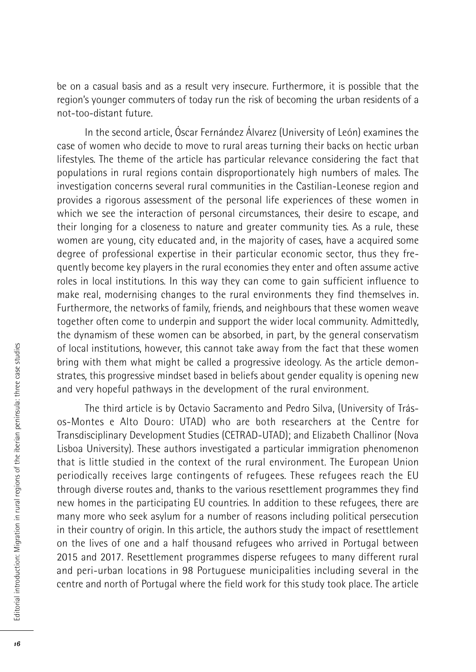be on a casual basis and as a result very insecure. Furthermore, it is possible that the region's younger commuters of today run the risk of becoming the urban residents of a not-too-distant future.

In the second article, Óscar Fernández Álvarez (University of León) examines the case of women who decide to move to rural areas turning their backs on hectic urban lifestyles. The theme of the article has particular relevance considering the fact that populations in rural regions contain disproportionately high numbers of males. The investigation concerns several rural communities in the Castilian-Leonese region and provides a rigorous assessment of the personal life experiences of these women in which we see the interaction of personal circumstances, their desire to escape, and their longing for a closeness to nature and greater community ties. As a rule, these women are young, city educated and, in the majority of cases, have a acquired some degree of professional expertise in their particular economic sector, thus they frequently become key players in the rural economies they enter and often assume active roles in local institutions. In this way they can come to gain sufficient influence to make real, modernising changes to the rural environments they find themselves in. Furthermore, the networks of family, friends, and neighbours that these women weave together often come to underpin and support the wider local community. Admittedly, the dynamism of these women can be absorbed, in part, by the general conservatism of local institutions, however, this cannot take away from the fact that these women bring with them what might be called a progressive ideology. As the article demonstrates, this progressive mindset based in beliefs about gender equality is opening new and very hopeful pathways in the development of the rural environment.

The third article is by Octavio Sacramento and Pedro Silva, (University of Trásos-Montes e Alto Douro: UTAD) who are both researchers at the Centre for Transdisciplinary Development Studies (CETRAD-UTAD); and Elizabeth Challinor (Nova Lisboa University). These authors investigated a particular immigration phenomenon that is little studied in the context of the rural environment. The European Union periodically receives large contingents of refugees. These refugees reach the EU through diverse routes and, thanks to the various resettlement programmes they find new homes in the participating EU countries. In addition to these refugees, there are many more who seek asylum for a number of reasons including political persecution in their country of origin. In this article, the authors study the impact of resettlement on the lives of one and a half thousand refugees who arrived in Portugal between 2015 and 2017. Resettlement programmes disperse refugees to many different rural and peri-urban locations in 98 Portuguese municipalities including several in the centre and north of Portugal where the field work for this study took place. The article